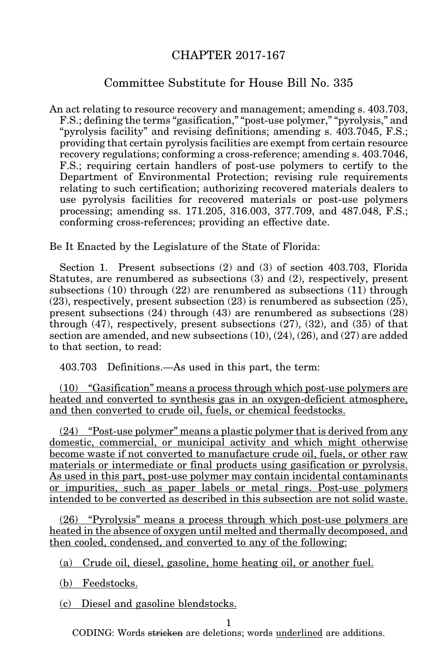## CHAPTER 2017-167

## Committee Substitute for House Bill No. 335

An act relating to resource recovery and management; amending s. 403.703, F.S.; defining the terms "gasification," "post-use polymer," "pyrolysis," and "pyrolysis facility" and revising definitions; amending s. 403.7045, F.S.; providing that certain pyrolysis facilities are exempt from certain resource recovery regulations; conforming a cross-reference; amending s. 403.7046, F.S.; requiring certain handlers of post-use polymers to certify to the Department of Environmental Protection; revising rule requirements relating to such certification; authorizing recovered materials dealers to use pyrolysis facilities for recovered materials or post-use polymers processing; amending ss. 171.205, 316.003, 377.709, and 487.048, F.S.; conforming cross-references; providing an effective date.

Be It Enacted by the Legislature of the State of Florida:

Section 1. Present subsections (2) and (3) of section 403.703, Florida Statutes, are renumbered as subsections (3) and (2), respectively, present subsections (10) through (22) are renumbered as subsections (11) through (23), respectively, present subsection (23) is renumbered as subsection (25), present subsections (24) through (43) are renumbered as subsections (28) through (47), respectively, present subsections (27), (32), and (35) of that section are amended, and new subsections (10), (24), (26), and (27) are added to that section, to read:

403.703 Definitions.—As used in this part, the term:

(10) "Gasification" means a process through which post-use polymers are heated and converted to synthesis gas in an oxygen-deficient atmosphere, and then converted to crude oil, fuels, or chemical feedstocks.

(24) "Post-use polymer" means a plastic polymer that is derived from any domestic, commercial, or municipal activity and which might otherwise become waste if not converted to manufacture crude oil, fuels, or other raw materials or intermediate or final products using gasification or pyrolysis. As used in this part, post-use polymer may contain incidental contaminants or impurities, such as paper labels or metal rings. Post-use polymers intended to be converted as described in this subsection are not solid waste.

(26) "Pyrolysis" means a process through which post-use polymers are heated in the absence of oxygen until melted and thermally decomposed, and then cooled, condensed, and converted to any of the following:

(a) Crude oil, diesel, gasoline, home heating oil, or another fuel.

(b) Feedstocks.

(c) Diesel and gasoline blendstocks.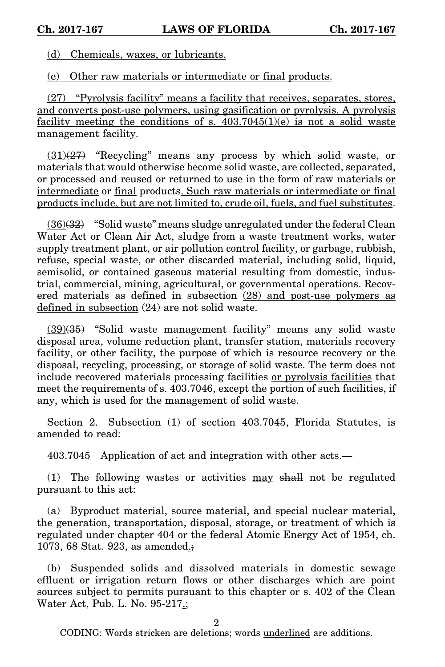(d) Chemicals, waxes, or lubricants.

(e) Other raw materials or intermediate or final products.

(27) "Pyrolysis facility" means a facility that receives, separates, stores, and converts post-use polymers, using gasification or pyrolysis. A pyrolysis facility meeting the conditions of s.  $403.7045(1)(e)$  is not a solid waste management facility.

 $(31)(27)$  "Recycling" means any process by which solid waste, or materials that would otherwise become solid waste, are collected, separated, or processed and reused or returned to use in the form of raw materials or intermediate or final products. Such raw materials or intermediate or final products include, but are not limited to, crude oil, fuels, and fuel substitutes.

 $(36)(32)$  "Solid waste" means sludge unregulated under the federal Clean Water Act or Clean Air Act, sludge from a waste treatment works, water supply treatment plant, or air pollution control facility, or garbage, rubbish, refuse, special waste, or other discarded material, including solid, liquid, semisolid, or contained gaseous material resulting from domestic, industrial, commercial, mining, agricultural, or governmental operations. Recovered materials as defined in subsection (28) and post-use polymers as defined in subsection (24) are not solid waste.

(39)(35) "Solid waste management facility" means any solid waste disposal area, volume reduction plant, transfer station, materials recovery facility, or other facility, the purpose of which is resource recovery or the disposal, recycling, processing, or storage of solid waste. The term does not include recovered materials processing facilities or pyrolysis facilities that meet the requirements of s. 403.7046, except the portion of such facilities, if any, which is used for the management of solid waste.

Section 2. Subsection (1) of section 403.7045, Florida Statutes, is amended to read:

403.7045 Application of act and integration with other acts.—

(1) The following wastes or activities may shall not be regulated pursuant to this act:

(a) Byproduct material, source material, and special nuclear material, the generation, transportation, disposal, storage, or treatment of which is regulated under chapter 404 or the federal Atomic Energy Act of 1954, ch. 1073, 68 Stat. 923, as amended.;

(b) Suspended solids and dissolved materials in domestic sewage effluent or irrigation return flows or other discharges which are point sources subject to permits pursuant to this chapter or s. 402 of the Clean Water Act, Pub. L. No. 95-217.;

2

CODING: Words <del>stricken</del> are deletions; words <u>underlined</u> are additions.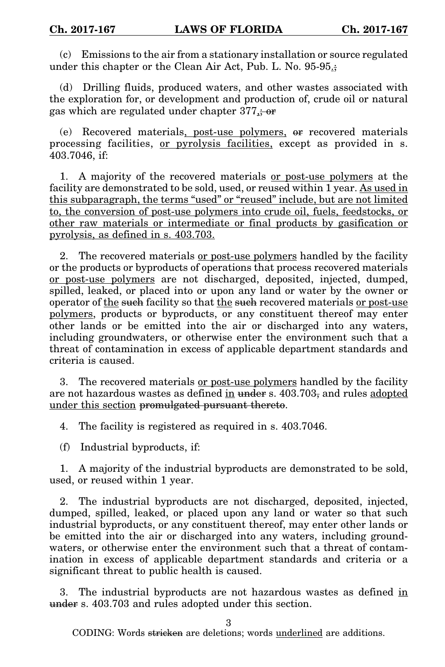(c) Emissions to the air from a stationary installation or source regulated under this chapter or the Clean Air Act, Pub. L. No. 95-95.

(d) Drilling fluids, produced waters, and other wastes associated with the exploration for, or development and production of, crude oil or natural gas which are regulated under chapter 377,; or

(e) Recovered materials, post-use polymers, or recovered materials processing facilities, <u>or pyrolysis facilities</u>, except as provided in s. 403.7046, if:

1. A majority of the recovered materials or post-use polymers at the facility are demonstrated to be sold, used, or reused within 1 year. As used in this subparagraph, the terms "used" or "reused" include, but are not limited to, the conversion of post-use polymers into crude oil, fuels, feedstocks, or other raw materials or intermediate or final products by gasification or pyrolysis, as defined in s. 403.703.

2. The recovered materials or post-use polymers handled by the facility or the products or byproducts of operations that process recovered materials or post-use polymers are not discharged, deposited, injected, dumped, spilled, leaked, or placed into or upon any land or water by the owner or operator of the such facility so that the such recovered materials or post-use polymers, products or byproducts, or any constituent thereof may enter other lands or be emitted into the air or discharged into any waters, including groundwaters, or otherwise enter the environment such that a threat of contamination in excess of applicable department standards and criteria is caused.

3. The recovered materials or post-use polymers handled by the facility are not hazardous wastes as defined in under s. 403.703, and rules adopted under this section promulgated pursuant thereto.

4. The facility is registered as required in s. 403.7046.

(f) Industrial byproducts, if:

1. A majority of the industrial byproducts are demonstrated to be sold, used, or reused within 1 year.

2. The industrial byproducts are not discharged, deposited, injected, dumped, spilled, leaked, or placed upon any land or water so that such industrial byproducts, or any constituent thereof, may enter other lands or be emitted into the air or discharged into any waters, including groundwaters, or otherwise enter the environment such that a threat of contamination in excess of applicable department standards and criteria or a significant threat to public health is caused.

3. The industrial byproducts are not hazardous wastes as defined in under s. 403.703 and rules adopted under this section.

3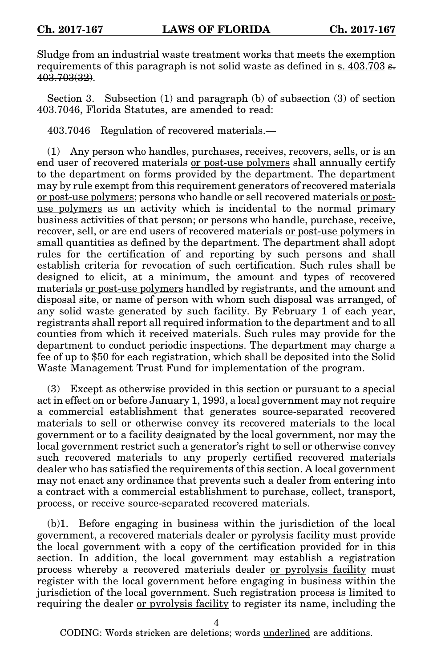Sludge from an industrial waste treatment works that meets the exemption requirements of this paragraph is not solid waste as defined in s.  $403.703$  s.  $40\overline{3.703(32)}$ .

Section 3. Subsection (1) and paragraph (b) of subsection (3) of section 403.7046, Florida Statutes, are amended to read:

403.7046 Regulation of recovered materials.—

(1) Any person who handles, purchases, receives, recovers, sells, or is an end user of recovered materials or post-use polymers shall annually certify to the department on forms provided by the department. The department may by rule exempt from this requirement generators of recovered materials or post-use polymers; persons who handle or sell recovered materials or postuse polymers as an activity which is incidental to the normal primary business activities of that person; or persons who handle, purchase, receive, recover, sell, or are end users of recovered materials or post-use polymers in small quantities as defined by the department. The department shall adopt rules for the certification of and reporting by such persons and shall establish criteria for revocation of such certification. Such rules shall be designed to elicit, at a minimum, the amount and types of recovered materials or post-use polymers handled by registrants, and the amount and disposal site, or name of person with whom such disposal was arranged, of any solid waste generated by such facility. By February 1 of each year, registrants shall report all required information to the department and to all counties from which it received materials. Such rules may provide for the department to conduct periodic inspections. The department may charge a fee of up to \$50 for each registration, which shall be deposited into the Solid Waste Management Trust Fund for implementation of the program.

(3) Except as otherwise provided in this section or pursuant to a special act in effect on or before January 1, 1993, a local government may not require a commercial establishment that generates source-separated recovered materials to sell or otherwise convey its recovered materials to the local government or to a facility designated by the local government, nor may the local government restrict such a generator's right to sell or otherwise convey such recovered materials to any properly certified recovered materials dealer who has satisfied the requirements of this section. A local government may not enact any ordinance that prevents such a dealer from entering into a contract with a commercial establishment to purchase, collect, transport, process, or receive source-separated recovered materials.

(b)1. Before engaging in business within the jurisdiction of the local government, a recovered materials dealer or pyrolysis facility must provide the local government with a copy of the certification provided for in this section. In addition, the local government may establish a registration process whereby a recovered materials dealer or pyrolysis facility must register with the local government before engaging in business within the jurisdiction of the local government. Such registration process is limited to requiring the dealer or pyrolysis facility to register its name, including the

4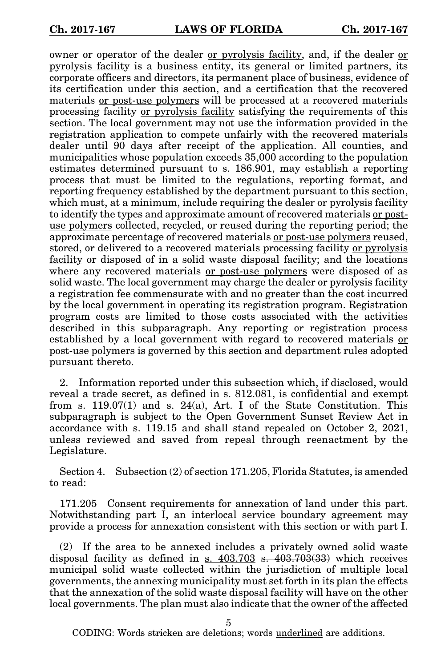owner or operator of the dealer or pyrolysis facility, and, if the dealer or pyrolysis facility is a business entity, its general or limited partners, its corporate officers and directors, its permanent place of business, evidence of its certification under this section, and a certification that the recovered materials or post-use polymers will be processed at a recovered materials processing facility or pyrolysis facility satisfying the requirements of this section. The local government may not use the information provided in the registration application to compete unfairly with the recovered materials dealer until 90 days after receipt of the application. All counties, and municipalities whose population exceeds 35,000 according to the population estimates determined pursuant to s. 186.901, may establish a reporting process that must be limited to the regulations, reporting format, and reporting frequency established by the department pursuant to this section, which must, at a minimum, include requiring the dealer or pyrolysis facility to identify the types and approximate amount of recovered materials or postuse polymers collected, recycled, or reused during the reporting period; the approximate percentage of recovered materials or post-use polymers reused, stored, or delivered to a recovered materials processing facility or pyrolysis facility or disposed of in a solid waste disposal facility; and the locations where any recovered materials or post-use polymers were disposed of as solid waste. The local government may charge the dealer or pyrolysis facility a registration fee commensurate with and no greater than the cost incurred by the local government in operating its registration program. Registration program costs are limited to those costs associated with the activities described in this subparagraph. Any reporting or registration process established by a local government with regard to recovered materials or post-use polymers is governed by this section and department rules adopted pursuant thereto.

2. Information reported under this subsection which, if disclosed, would reveal a trade secret, as defined in s. 812.081, is confidential and exempt from s.  $119.07(1)$  and s.  $24(a)$ , Art. I of the State Constitution. This subparagraph is subject to the Open Government Sunset Review Act in accordance with s. 119.15 and shall stand repealed on October 2, 2021, unless reviewed and saved from repeal through reenactment by the Legislature.

Section 4. Subsection (2) of section 171.205, Florida Statutes, is amended to read:

171.205 Consent requirements for annexation of land under this part. Notwithstanding part I, an interlocal service boundary agreement may provide a process for annexation consistent with this section or with part I.

(2) If the area to be annexed includes a privately owned solid waste disposal facility as defined in s.  $403.703$  s.  $403.703(33)$  which receives municipal solid waste collected within the jurisdiction of multiple local governments, the annexing municipality must set forth in its plan the effects that the annexation of the solid waste disposal facility will have on the other local governments. The plan must also indicate that the owner of the affected

5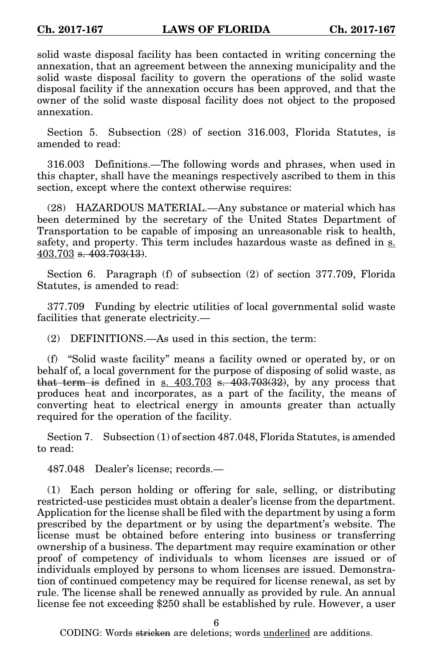solid waste disposal facility has been contacted in writing concerning the annexation, that an agreement between the annexing municipality and the solid waste disposal facility to govern the operations of the solid waste disposal facility if the annexation occurs has been approved, and that the owner of the solid waste disposal facility does not object to the proposed annexation.

Section 5. Subsection (28) of section 316.003, Florida Statutes, is amended to read:

316.003 Definitions.—The following words and phrases, when used in this chapter, shall have the meanings respectively ascribed to them in this section, except where the context otherwise requires:

(28) HAZARDOUS MATERIAL.—Any substance or material which has been determined by the secretary of the United States Department of Transportation to be capable of imposing an unreasonable risk to health, safety, and property. This term includes hazardous waste as defined in s. 403.703 s. 403.703(13).

Section 6. Paragraph (f) of subsection (2) of section 377.709, Florida Statutes, is amended to read:

377.709 Funding by electric utilities of local governmental solid waste facilities that generate electricity.—

(2) DEFINITIONS.—As used in this section, the term:

(f) "Solid waste facility" means a facility owned or operated by, or on behalf of, a local government for the purpose of disposing of solid waste, as that term is defined in s.  $403.703$  s.  $403.703(32)$ , by any process that produces heat and incorporates, as a part of the facility, the means of converting heat to electrical energy in amounts greater than actually required for the operation of the facility.

Section 7. Subsection (1) of section 487.048, Florida Statutes, is amended to read:

487.048 Dealer's license; records.—

(1) Each person holding or offering for sale, selling, or distributing restricted-use pesticides must obtain a dealer's license from the department. Application for the license shall be filed with the department by using a form prescribed by the department or by using the department's website. The license must be obtained before entering into business or transferring ownership of a business. The department may require examination or other proof of competency of individuals to whom licenses are issued or of individuals employed by persons to whom licenses are issued. Demonstration of continued competency may be required for license renewal, as set by rule. The license shall be renewed annually as provided by rule. An annual license fee not exceeding \$250 shall be established by rule. However, a user

6

CODING: Words <del>stricken</del> are deletions; words <u>underlined</u> are additions.